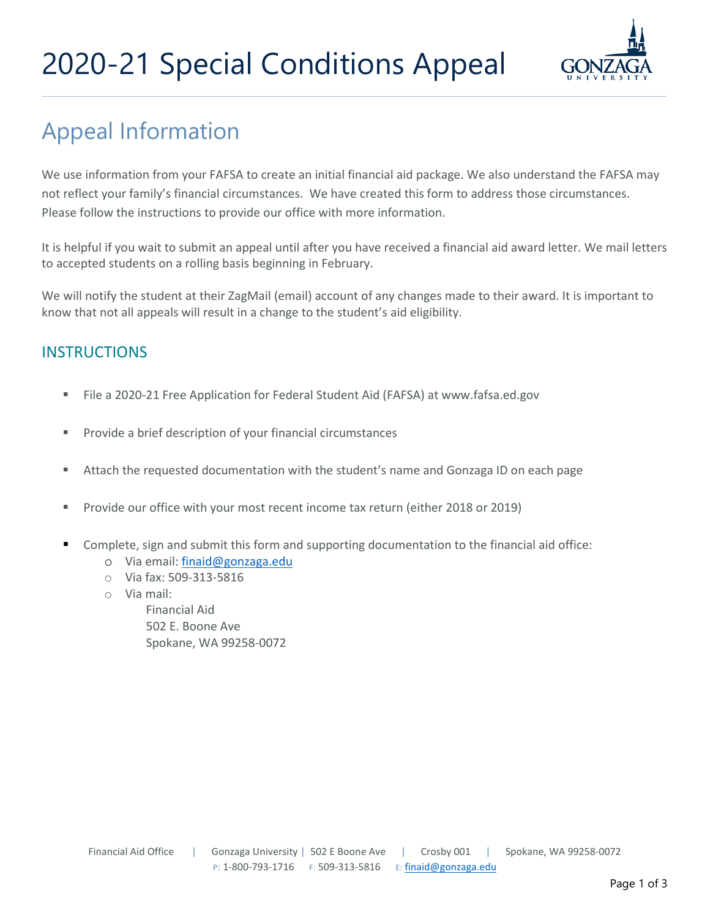# 2020-21 Special Conditions Appeal



### Appeal Information

We use information from your FAFSA to create an initial financial aid package. We also understand the FAFSA may not reflect your family's financial circumstances. We have created this form to address those circumstances. Please follow the instructions to provide our office with more information.

It is helpful if you wait to submit an appeal until after you have received a financial aid award letter. We mail letters to accepted students on a rolling basis beginning in February.

We will notify the student at their ZagMail (email) account of any changes made to their award. It is important to know that not all appeals will result in a change to the student's aid eligibility.

### **INSTRUCTIONS**

- File a 2020-21 Free Application for Federal Student Aid (FAFSA) at [www.fafsa.ed.gov](http://www.fafsa.ed.gov/)
- **Provide a brief description of your financial circumstances**
- Attach the requested documentation with the student's name and Gonzaga ID on each page
- Provide our office with your most recent income tax return (either 2018 or 2019)
- Complete, sign and submit this form and supporting documentation to the financial aid office:
	- o Via email[: finaid@gonzaga.edu](mailto:finaid@gonzaga.edu)
	- o Via fax: 509-313-5816
	- o Via mail:

Financial Aid 502 E. Boone Ave Spokane, WA 99258-0072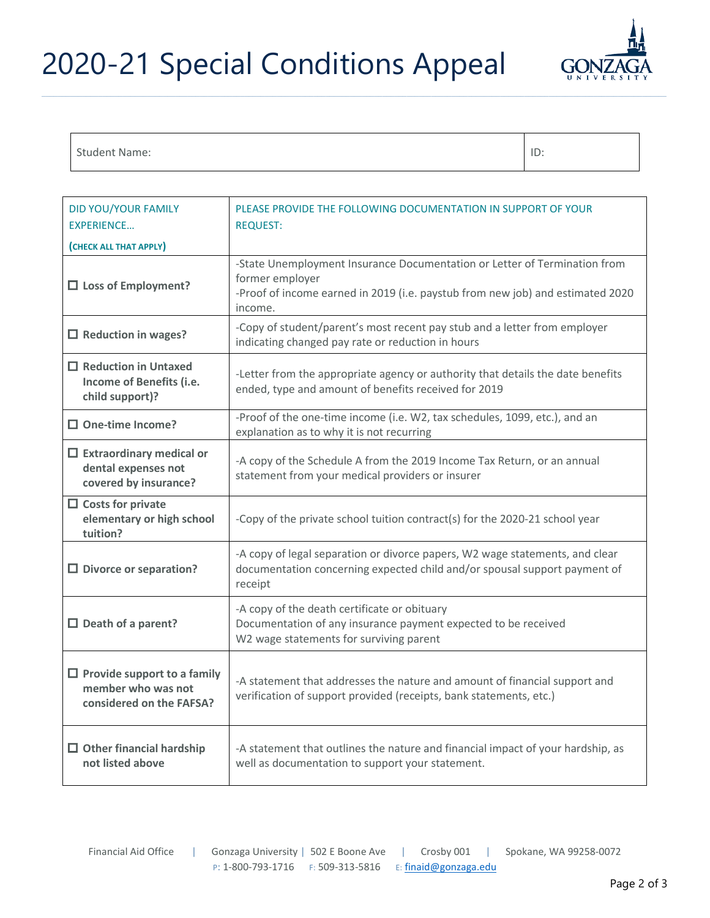## 2020-21 Special Conditions Appeal



#### Student Name: ID:

| <b>DID YOU/YOUR FAMILY</b><br><b>EXPERIENCE</b>                                      | PLEASE PROVIDE THE FOLLOWING DOCUMENTATION IN SUPPORT OF YOUR<br><b>REQUEST:</b>                                                                                                          |  |  |
|--------------------------------------------------------------------------------------|-------------------------------------------------------------------------------------------------------------------------------------------------------------------------------------------|--|--|
| (CHECK ALL THAT APPLY)                                                               |                                                                                                                                                                                           |  |  |
| $\square$ Loss of Employment?                                                        | -State Unemployment Insurance Documentation or Letter of Termination from<br>former employer<br>-Proof of income earned in 2019 (i.e. paystub from new job) and estimated 2020<br>income. |  |  |
| $\Box$ Reduction in wages?                                                           | -Copy of student/parent's most recent pay stub and a letter from employer<br>indicating changed pay rate or reduction in hours                                                            |  |  |
| $\Box$ Reduction in Untaxed<br>Income of Benefits (i.e.<br>child support)?           | -Letter from the appropriate agency or authority that details the date benefits<br>ended, type and amount of benefits received for 2019                                                   |  |  |
| $\Box$ One-time Income?                                                              | -Proof of the one-time income (i.e. W2, tax schedules, 1099, etc.), and an<br>explanation as to why it is not recurring                                                                   |  |  |
| $\Box$ Extraordinary medical or<br>dental expenses not<br>covered by insurance?      | -A copy of the Schedule A from the 2019 Income Tax Return, or an annual<br>statement from your medical providers or insurer                                                               |  |  |
| $\Box$ Costs for private<br>elementary or high school<br>tuition?                    | -Copy of the private school tuition contract(s) for the 2020-21 school year                                                                                                               |  |  |
| $\square$ Divorce or separation?                                                     | -A copy of legal separation or divorce papers, W2 wage statements, and clear<br>documentation concerning expected child and/or spousal support payment of<br>receipt                      |  |  |
| $\Box$ Death of a parent?                                                            | -A copy of the death certificate or obituary<br>Documentation of any insurance payment expected to be received<br>W2 wage statements for surviving parent                                 |  |  |
| $\Box$ Provide support to a family<br>member who was not<br>considered on the FAFSA? | -A statement that addresses the nature and amount of financial support and<br>verification of support provided (receipts, bank statements, etc.)                                          |  |  |
| $\Box$ Other financial hardship<br>not listed above                                  | -A statement that outlines the nature and financial impact of your hardship, as<br>well as documentation to support your statement.                                                       |  |  |